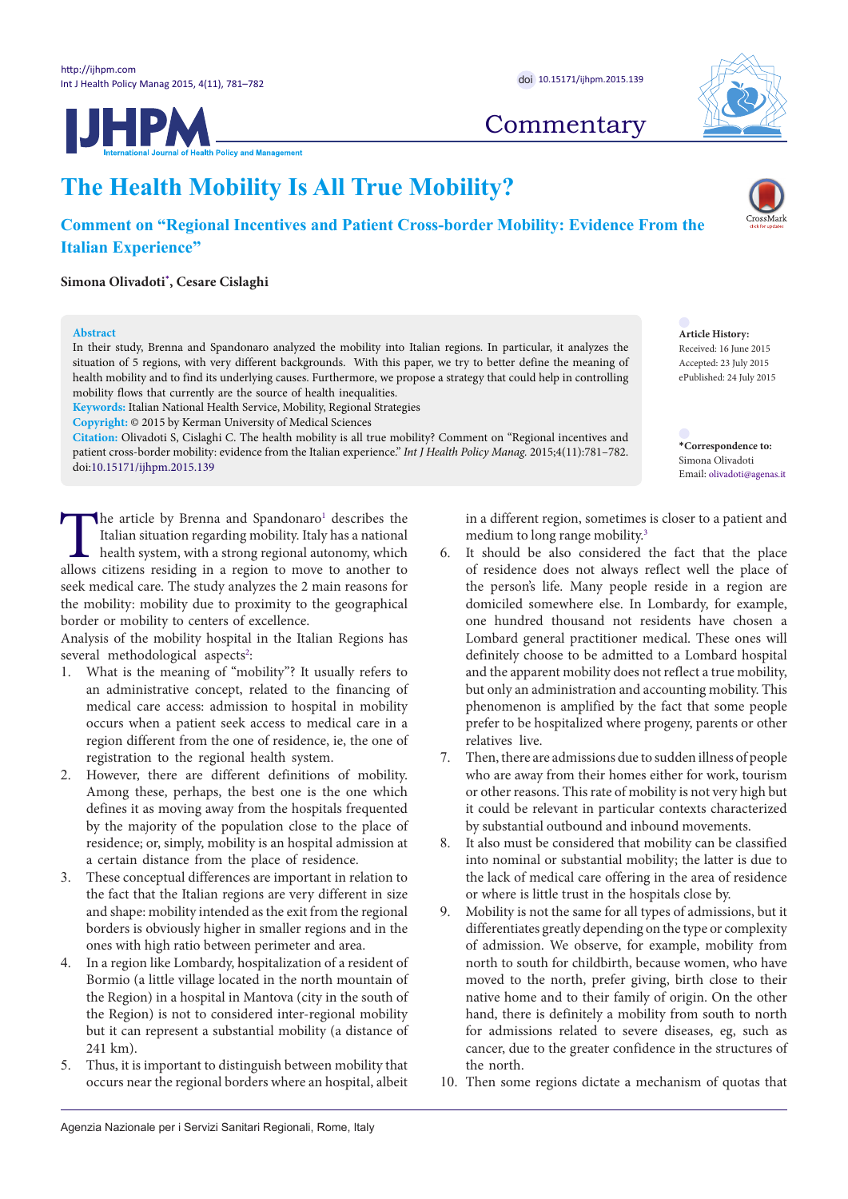**JHPM** 

## **The Health Mobility Is All True Mobility?**

## **Comment on "Regional Incentives and Patient Cross-border Mobility: Evidence From the Italian Experience"**

### **Simona Olivadoti[\\*](#page-0-0) , Cesare Cislaghi**

### **Abstract**

In their study, Brenna and Spandonaro analyzed the mobility into Italian regions. In particular, it analyzes the situation of 5 regions, with very different backgrounds. With this paper, we try to better define the meaning of health mobility and to find its underlying causes. Furthermore, we propose a strategy that could help in controlling mobility flows that currently are the source of health inequalities.

**Keywords:** Italian National Health Service, Mobility, Regional Strategies

**Copyright:** © 2015 by Kerman University of Medical Sciences

**Citation:** Olivadoti S, Cislaghi C. The health mobility is all true mobility? Comment on "Regional incentives and patient cross-border mobility: evidence from the Italian experience." *Int J Health Policy Manag.* 2015;4(11):781–782. doi[:10.15171/ijhpm.2015.139](http://dx.doi.org/10.15171/ijhpm.2015.139)

The article by Brenna and Spandonaro<sup>[1](#page-1-0)</sup><br>Italian situation regarding mobility. Italy<br>health system, with a strong regional au<br>allows citizens residing in a region to move The article by Brenna and Spandonaro<sup>1</sup> describes the Italian situation regarding mobility. Italy has a national health system, with a strong regional autonomy, which allows citizens residing in a region to move to another to seek medical care. The study analyzes the 2 main reasons for the mobility: mobility due to proximity to the geographical border or mobility to centers of excellence.

Analysis of the mobility hospital in the Italian Regions has several methodological aspects<sup>2</sup>:

- 1. What is the meaning of "mobility"? It usually refers to an administrative concept, related to the financing of medical care access: admission to hospital in mobility occurs when a patient seek access to medical care in a region different from the one of residence, ie, the one of registration to the regional health system.
- 2. However, there are different definitions of mobility. Among these, perhaps, the best one is the one which defines it as moving away from the hospitals frequented by the majority of the population close to the place of residence; or, simply, mobility is an hospital admission at a certain distance from the place of residence.
- 3. These conceptual differences are important in relation to the fact that the Italian regions are very different in size and shape: mobility intended as the exit from the regional borders is obviously higher in smaller regions and in the ones with high ratio between perimeter and area.
- 4. In a region like Lombardy, hospitalization of a resident of Bormio (a little village located in the north mountain of the Region) in a hospital in Mantova (city in the south of the Region) is not to considered inter-regional mobility but it can represent a substantial mobility (a distance of 241 km).
- 5. Thus, it is important to distinguish between mobility that occurs near the regional borders where an hospital, albeit

in a different region, sometimes is closer to a patient and medium to long range mobility.<sup>3</sup>

- 6. It should be also considered the fact that the place of residence does not always reflect well the place of the person's life. Many people reside in a region are domiciled somewhere else. In Lombardy, for example, one hundred thousand not residents have chosen a Lombard general practitioner medical. These ones will definitely choose to be admitted to a Lombard hospital and the apparent mobility does not reflect a true mobility, but only an administration and accounting mobility. This phenomenon is amplified by the fact that some people prefer to be hospitalized where progeny, parents or other relatives live.
- 7. Then, there are admissions due to sudden illness of people who are away from their homes either for work, tourism or other reasons. This rate of mobility is not very high but it could be relevant in particular contexts characterized by substantial outbound and inbound movements.
- It also must be considered that mobility can be classified into nominal or substantial mobility; the latter is due to the lack of medical care offering in the area of residence or where is little trust in the hospitals close by.
- 9. Mobility is not the same for all types of admissions, but it differentiates greatly depending on the type or complexity of admission. We observe, for example, mobility from north to south for childbirth, because women, who have moved to the north, prefer giving, birth close to their native home and to their family of origin. On the other hand, there is definitely a mobility from south to north for admissions related to severe diseases, eg, such as cancer, due to the greater confidence in the structures of the north.
- 10. Then some regions dictate a mechanism of quotas that

# **Commentary**

**Article History:**

Received: 16 June 2015 Accepted: 23 July 2015 ePublished: 24 July 2015

<span id="page-0-0"></span>